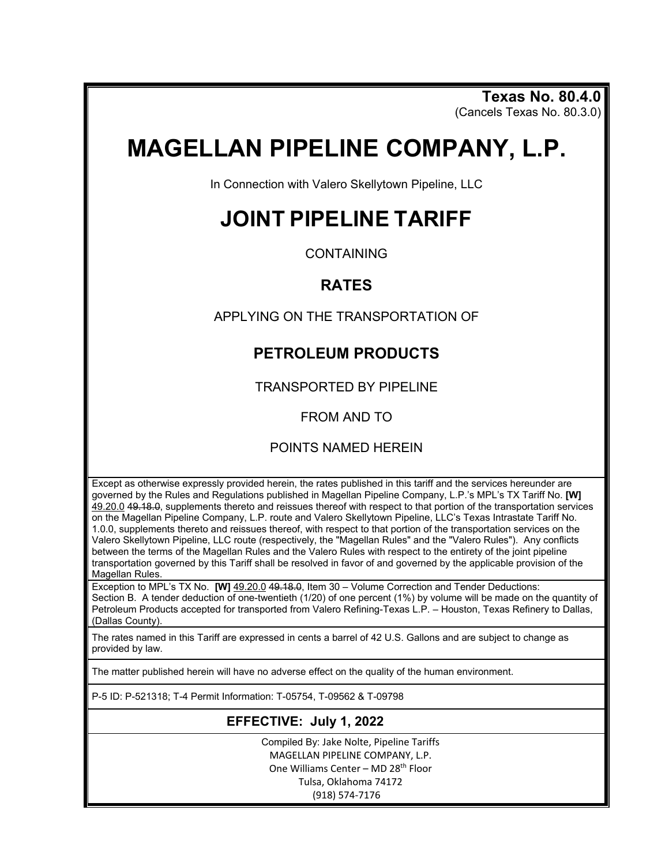**Texas No. 80.4.0** (Cancels Texas No. 80.3.0)

# **MAGELLAN PIPELINE COMPANY, L.P.**

In Connection with Valero Skellytown Pipeline, LLC

# **JOINT PIPELINE TARIFF**

**CONTAINING** 

### **RATES**

APPLYING ON THE TRANSPORTATION OF

## **PETROLEUM PRODUCTS**

TRANSPORTED BY PIPELINE

FROM AND TO

#### POINTS NAMED HEREIN

Except as otherwise expressly provided herein, the rates published in this tariff and the services hereunder are governed by the Rules and Regulations published in Magellan Pipeline Company, L.P.'s MPL's TX Tariff No. **[W]** 49.20.0 49.18.0, supplements thereto and reissues thereof with respect to that portion of the transportation services on the Magellan Pipeline Company, L.P. route and Valero Skellytown Pipeline, LLC's Texas Intrastate Tariff No. 1.0.0, supplements thereto and reissues thereof, with respect to that portion of the transportation services on the Valero Skellytown Pipeline, LLC route (respectively, the "Magellan Rules" and the "Valero Rules"). Any conflicts between the terms of the Magellan Rules and the Valero Rules with respect to the entirety of the joint pipeline transportation governed by this Tariff shall be resolved in favor of and governed by the applicable provision of the Magellan Rules.

Exception to MPL's TX No. **[W]** 49.20.0 49.18.0, Item 30 – Volume Correction and Tender Deductions: Section B. A tender deduction of one-twentieth (1/20) of one percent (1%) by volume will be made on the quantity of Petroleum Products accepted for transported from Valero Refining-Texas L.P. – Houston, Texas Refinery to Dallas, (Dallas County).

The rates named in this Tariff are expressed in cents a barrel of 42 U.S. Gallons and are subject to change as provided by law.

The matter published herein will have no adverse effect on the quality of the human environment.

P-5 ID: P-521318; T-4 Permit Information: T-05754, T-09562 & T-09798

### **EFFECTIVE: July 1, 2022**

Compiled By: Jake Nolte, Pipeline Tariffs MAGELLAN PIPELINE COMPANY, L.P. One Williams Center - MD 28<sup>th</sup> Floor Tulsa, Oklahoma 74172 (918) 574-7176